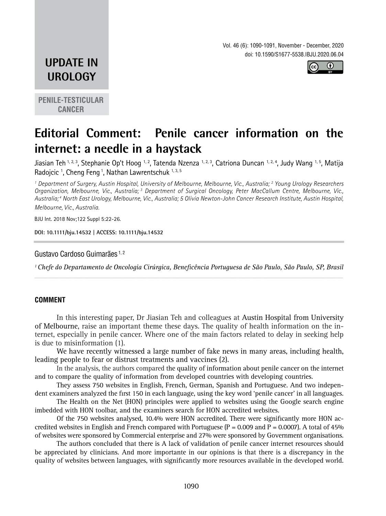Vol. 46 (6): 1090-1091, November - December, 2020 doi: 10.1590/S1677-5538.IBJU.2020.06.04



## **UPDATE IN UROLOGY**

**PENILE-TESTICULAR CANCER**

# **Editorial Comment: Penile cancer information on the internet: a needle in a haystack**

Jiasian Teh <sup>1, 2, 3</sup>, Stephanie Op't Hoog <sup>1, 2</sup>, Tatenda Nzenza <sup>1, 2, 3</sup>, Catriona Duncan <sup>1, 2, 4</sup>, Judy Wang <sup>1, 5</sup>, Matija Radojcic <sup>1</sup>, Cheng Feng <sup>1</sup>, Nathan Lawrentschuk 1, 3, 5

*1 Department of Surgery, Austin Hospital, University of Melbourne, Melbourne, Vic., Australia; 2 Young Urology Researchers Organization, Melbourne, Vic., Australia; 3 Department of Surgical Oncology, Peter MacCallum Centre, Melbourne, Vic., Australia; 4 North East Urology, Melbourne, Vic., Australia; 5 Olivia Newton-John Cancer Research Institute, Austin Hospital, Melbourne, Vic., Australia.*

BJU Int. 2018 Nov;122 Suppl 5:22-26.

**DOI: 10.1111/bju.14532 | ACCESS: 10.1111/bju.14532 \_\_\_\_\_\_\_\_\_\_\_\_\_\_\_\_\_\_\_\_\_\_\_\_\_\_\_\_\_\_\_\_\_\_\_\_\_\_\_\_\_\_\_\_\_**

#### Gustavo Cardoso Guimarães<sup>1,2</sup>

*1 Chefe do Departamento de Oncologia Cirúrgica, Beneficência Portuguesa de São Paulo, São Paulo, SP, Brasil \_\_\_\_\_\_\_\_\_\_\_\_\_\_\_\_\_\_\_\_\_\_\_\_\_\_\_\_\_\_\_\_\_\_\_\_\_\_\_\_\_\_\_\_\_\_\_\_\_\_\_\_\_\_\_\_\_\_\_\_\_\_\_\_\_\_\_\_\_\_\_\_\_\_\_\_\_\_\_\_\_\_\_\_\_\_\_*

#### **COMMENT**

In this interesting paper, Dr Jiasian Teh and colleagues at Austin Hospital from University of Melbourne, raise an important theme these days. The quality of health information on the internet, especially in penile cancer. Where one of the main factors related to delay in seeking help is due to misinformation (1).

We have recently witnessed a large number of fake news in many areas, including health, leading people to fear or distrust treatments and vaccines (2).

In the analysis, the authors compared the quality of information about penile cancer on the internet and to compare the quality of information from developed countries with developing countries.

They assess 750 websites in English, French, German, Spanish and Portuguese. And two independent examiners analyzed the first 150 in each language, using the key word 'penile cancer' in all languages.

The Health on the Net (HON) principles were applied to websites using the Google search engine imbedded with HON toolbar, and the examiners search for HON accredited websites.

Of the 750 websites analysed, 10.4% were HON accredited. There were significantly more HON accredited websites in English and French compared with Portuguese  $(P = 0.009$  and  $P = 0.0007$ ). A total of 45% of websites were sponsored by Commercial enterprise and 27% were sponsored by Government organisations.

The authors concluded that there is A lack of validation of penile cancer internet resources should be appreciated by clinicians. And more importante in our opinions is that there is a discrepancy in the quality of websites between languages, with significantly more resources available in the developed world.